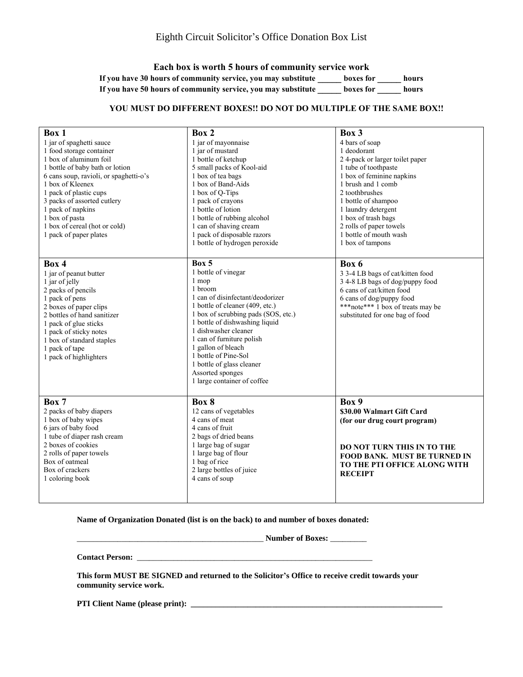**Each box is worth 5 hours of community service work If you have 30 hours of community service, you may substitute \_\_\_\_\_ boxes for \_\_\_\_\_ hours If you have 50 hours of community service, you may substitute \_\_\_\_\_ boxes for \_\_\_\_\_ hours**

## **YOU MUST DO DIFFERENT BOXES!! DO NOT DO MULTIPLE OF THE SAME BOX!!**

| Box 1<br>1 jar of spaghetti sauce<br>1 food storage container<br>1 box of aluminum foil<br>1 bottle of baby bath or lotion<br>6 cans soup, ravioli, or spaghetti-o's<br>1 box of Kleenex                                                                                       | Box 2<br>1 jar of mayonnaise<br>1 jar of mustard<br>1 bottle of ketchup<br>5 small packs of Kool-aid<br>1 box of tea bags<br>1 box of Band-Aids                                                                                                                                                                                                                                     | Box 3<br>4 bars of soap<br>1 deodorant<br>24-pack or larger toilet paper<br>1 tube of toothpaste<br>1 box of feminine napkins<br>1 brush and 1 comb                                                           |
|--------------------------------------------------------------------------------------------------------------------------------------------------------------------------------------------------------------------------------------------------------------------------------|-------------------------------------------------------------------------------------------------------------------------------------------------------------------------------------------------------------------------------------------------------------------------------------------------------------------------------------------------------------------------------------|---------------------------------------------------------------------------------------------------------------------------------------------------------------------------------------------------------------|
| 1 pack of plastic cups<br>3 packs of assorted cutlery<br>1 pack of napkins<br>1 box of pasta<br>1 box of cereal (hot or cold)<br>1 pack of paper plates                                                                                                                        | 1 box of Q-Tips<br>1 pack of crayons<br>1 bottle of lotion<br>1 bottle of rubbing alcohol<br>1 can of shaving cream<br>1 pack of disposable razors<br>1 bottle of hydrogen peroxide                                                                                                                                                                                                 | 2 toothbrushes<br>1 bottle of shampoo<br>1 laundry detergent<br>1 box of trash bags<br>2 rolls of paper towels<br>1 bottle of mouth wash<br>1 box of tampons                                                  |
| Box 4<br>1 jar of peanut butter<br>1 jar of jelly<br>2 packs of pencils<br>1 pack of pens<br>2 boxes of paper clips<br>2 bottles of hand sanitizer<br>1 pack of glue sticks<br>1 pack of sticky notes<br>1 box of standard staples<br>1 pack of tape<br>1 pack of highlighters | Box 5<br>1 bottle of vinegar<br>1 mop<br>1 broom<br>1 can of disinfectant/deodorizer<br>1 bottle of cleaner (409, etc.)<br>1 box of scrubbing pads (SOS, etc.)<br>1 bottle of dishwashing liquid<br>1 dishwasher cleaner<br>1 can of furniture polish<br>1 gallon of bleach<br>1 bottle of Pine-Sol<br>1 bottle of glass cleaner<br>Assorted sponges<br>1 large container of coffee | Box 6<br>3 3-4 LB bags of cat/kitten food<br>3 4-8 LB bags of dog/puppy food<br>6 cans of cat/kitten food<br>6 cans of dog/puppy food<br>***note*** 1 box of treats may be<br>substituted for one bag of food |
| Box 7<br>2 packs of baby diapers<br>1 box of baby wipes<br>6 jars of baby food<br>1 tube of diaper rash cream<br>2 boxes of cookies<br>2 rolls of paper towels<br>Box of oatmeal<br>Box of crackers<br>1 coloring book                                                         | Box 8<br>12 cans of vegetables<br>4 cans of meat<br>4 cans of fruit<br>2 bags of dried beans<br>1 large bag of sugar<br>1 large bag of flour<br>1 bag of rice<br>2 large bottles of juice<br>4 cans of soup                                                                                                                                                                         | Box 9<br>\$30.00 Walmart Gift Card<br>(for our drug court program)<br><b>DO NOT TURN THIS IN TO THE</b><br>FOOD BANK. MUST BE TURNED IN<br>TO THE PTI OFFICE ALONG WITH<br><b>RECEIPT</b>                     |

**Name of Organization Donated (list is on the back) to and number of boxes donated:**

**The Properties of Boxes:**  $\blacksquare$ 

**Contact Person:** \_\_\_\_\_\_\_\_\_\_\_\_\_\_\_\_\_\_\_\_\_\_\_\_\_\_\_\_\_\_\_\_\_\_\_\_\_\_\_\_\_\_\_\_\_\_\_\_\_\_\_\_\_\_\_\_\_\_

**This form MUST BE SIGNED and returned to the Solicitor's Office to receive credit towards your community service work.**

**PTI Client Name (please print): \_\_\_\_\_\_\_\_\_\_\_\_\_\_\_\_\_\_\_\_\_\_\_\_\_\_\_\_\_\_\_\_\_\_\_\_\_\_\_\_\_\_\_\_\_\_\_\_\_\_\_\_\_\_\_\_\_\_\_\_\_\_**